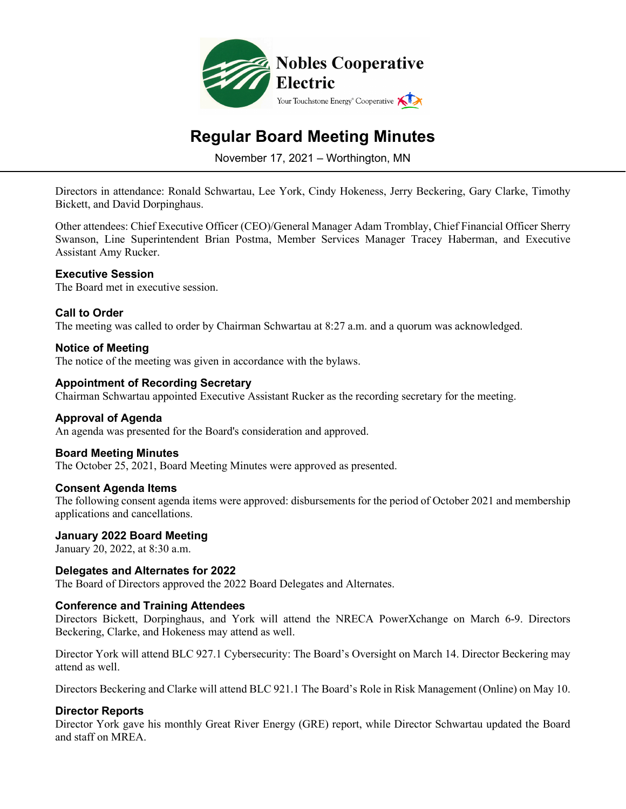

# **Regular Board Meeting Minutes**

November 17, 2021 – Worthington, MN

Directors in attendance: Ronald Schwartau, Lee York, Cindy Hokeness, Jerry Beckering, Gary Clarke, Timothy Bickett, and David Dorpinghaus.

Other attendees: Chief Executive Officer (CEO)/General Manager Adam Tromblay, Chief Financial Officer Sherry Swanson, Line Superintendent Brian Postma, Member Services Manager Tracey Haberman, and Executive Assistant Amy Rucker.

## **Executive Session**

The Board met in executive session.

## **Call to Order**

The meeting was called to order by Chairman Schwartau at 8:27 a.m. and a quorum was acknowledged.

## **Notice of Meeting**

The notice of the meeting was given in accordance with the bylaws.

## **Appointment of Recording Secretary**

Chairman Schwartau appointed Executive Assistant Rucker as the recording secretary for the meeting.

#### **Approval of Agenda**

An agenda was presented for the Board's consideration and approved.

#### **Board Meeting Minutes**

The October 25, 2021, Board Meeting Minutes were approved as presented.

#### **Consent Agenda Items**

The following consent agenda items were approved: disbursements for the period of October 2021 and membership applications and cancellations.

#### **January 2022 Board Meeting**

January 20, 2022, at 8:30 a.m.

#### **Delegates and Alternates for 2022**

The Board of Directors approved the 2022 Board Delegates and Alternates.

#### **Conference and Training Attendees**

Directors Bickett, Dorpinghaus, and York will attend the NRECA PowerXchange on March 6-9. Directors Beckering, Clarke, and Hokeness may attend as well.

Director York will attend BLC 927.1 Cybersecurity: The Board's Oversight on March 14. Director Beckering may attend as well.

Directors Beckering and Clarke will attend BLC 921.1 The Board's Role in Risk Management (Online) on May 10.

#### **Director Reports**

Director York gave his monthly Great River Energy (GRE) report, while Director Schwartau updated the Board and staff on MREA.